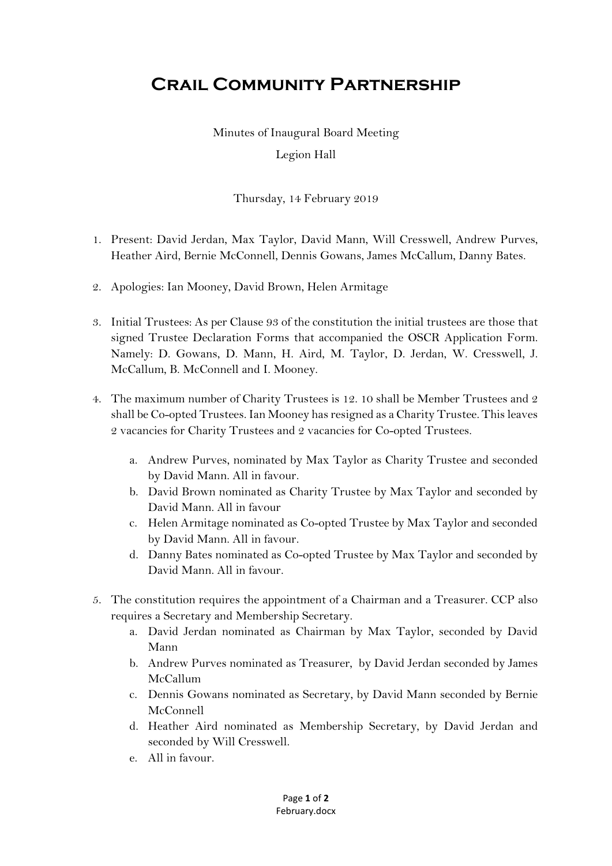## **Crail Community Partnership**

Minutes of Inaugural Board Meeting Legion Hall

Thursday, 14 February 2019

- 1. Present: David Jerdan, Max Taylor, David Mann, Will Cresswell, Andrew Purves, Heather Aird, Bernie McConnell, Dennis Gowans, James McCallum, Danny Bates.
- 2. Apologies: Ian Mooney, David Brown, Helen Armitage
- 3. Initial Trustees: As per Clause 93 of the constitution the initial trustees are those that signed Trustee Declaration Forms that accompanied the OSCR Application Form. Namely: D. Gowans, D. Mann, H. Aird, M. Taylor, D. Jerdan, W. Cresswell, J. McCallum, B. McConnell and I. Mooney.
- 4. The maximum number of Charity Trustees is 12. 10 shall be Member Trustees and 2 shall be Co-opted Trustees. Ian Mooney has resigned as a Charity Trustee. This leaves 2 vacancies for Charity Trustees and 2 vacancies for Co-opted Trustees.
	- a. Andrew Purves, nominated by Max Taylor as Charity Trustee and seconded by David Mann. All in favour.
	- b. David Brown nominated as Charity Trustee by Max Taylor and seconded by David Mann. All in favour
	- c. Helen Armitage nominated as Co-opted Trustee by Max Taylor and seconded by David Mann. All in favour.
	- d. Danny Bates nominated as Co-opted Trustee by Max Taylor and seconded by David Mann. All in favour.
- 5. The constitution requires the appointment of a Chairman and a Treasurer. CCP also requires a Secretary and Membership Secretary.
	- a. David Jerdan nominated as Chairman by Max Taylor, seconded by David Mann
	- b. Andrew Purves nominated as Treasurer, by David Jerdan seconded by James McCallum
	- c. Dennis Gowans nominated as Secretary, by David Mann seconded by Bernie McConnell
	- d. Heather Aird nominated as Membership Secretary, by David Jerdan and seconded by Will Cresswell.
	- e. All in favour.